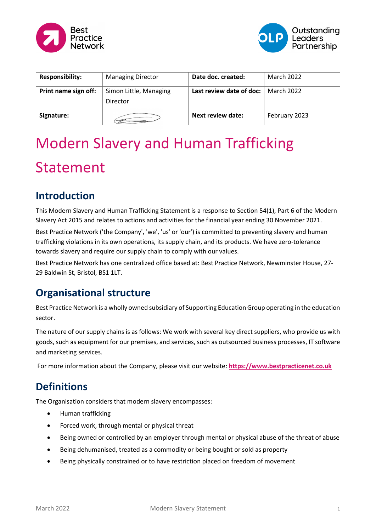



| <b>Responsibility:</b> | <b>Managing Director</b>           | Date doc. created:       | March 2022    |
|------------------------|------------------------------------|--------------------------|---------------|
| Print name sign off:   | Simon Little, Managing<br>Director | Last review date of doc: | March 2022    |
| Signature:             |                                    | Next review date:        | February 2023 |

# Modern Slavery and Human Trafficking Statement

## **Introduction**

This Modern Slavery and Human Trafficking Statement is a response to Section 54(1), Part 6 of the Modern Slavery Act 2015 and relates to actions and activities for the financial year ending 30 November 2021. Best Practice Network ('the Company', 'we', 'us' or 'our') is committed to preventing slavery and human trafficking violations in its own operations, its supply chain, and its products. We have zero-tolerance towards slavery and require our supply chain to comply with our values.

Best Practice Network has one centralized office based at: Best Practice Network, Newminster House, 27- 29 Baldwin St, Bristol, BS1 1LT.

## **Organisational structure**

Best Practice Network is a wholly owned subsidiary of Supporting Education Group operating in the education sector.

The nature of our supply chains is as follows: We work with several key direct suppliers, who provide us with goods, such as equipment for our premises, and services, such as outsourced business processes, IT software and marketing services.

For more information about the Company, please visit our website: **[https://www.bestpracticenet.co.uk](https://www.bestpracticenet.co.uk/)**

# **Definitions**

The Organisation considers that modern slavery encompasses:

- Human trafficking
- Forced work, through mental or physical threat
- Being owned or controlled by an employer through mental or physical abuse of the threat of abuse
- Being dehumanised, treated as a commodity or being bought or sold as property
- Being physically constrained or to have restriction placed on freedom of movement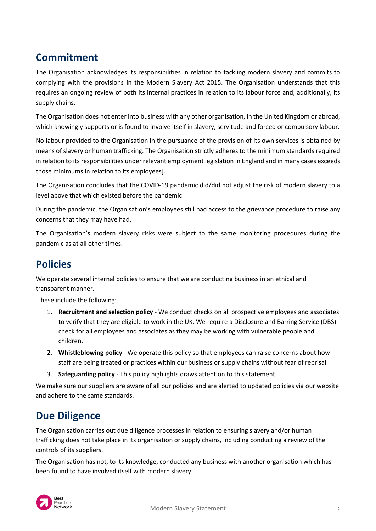# **Commitment**

The Organisation acknowledges its responsibilities in relation to tackling modern slavery and commits to complying with the provisions in the Modern Slavery Act 2015. The Organisation understands that this requires an ongoing review of both its internal practices in relation to its labour force and, additionally, its supply chains.

The Organisation does not enter into business with any other organisation, in the United Kingdom or abroad, which knowingly supports or is found to involve itself in slavery, servitude and forced or compulsory labour.

No labour provided to the Organisation in the pursuance of the provision of its own services is obtained by means of slavery or human trafficking. The Organisation strictly adheres to the minimum standards required in relation to its responsibilities under relevant employment legislation in England and in many cases exceeds those minimums in relation to its employees].

The Organisation concludes that the COVID-19 pandemic did/did not adjust the risk of modern slavery to a level above that which existed before the pandemic.

During the pandemic, the Organisation's employees still had access to the grievance procedure to raise any concerns that they may have had.

The Organisation's modern slavery risks were subject to the same monitoring procedures during the pandemic as at all other times.

#### **Policies**

We operate several internal policies to ensure that we are conducting business in an ethical and transparent manner.

These include the following:

- 1. **Recruitment and selection policy** We conduct checks on all prospective employees and associates to verify that they are eligible to work in the UK. We require a Disclosure and Barring Service (DBS) check for all employees and associates as they may be working with vulnerable people and children.
- 2. **Whistleblowing policy** We operate this policy so that employees can raise concerns about how staff are being treated or practices within our business or supply chains without fear of reprisal
- 3. **Safeguarding policy** This policy highlights draws attention to this statement.

We make sure our suppliers are aware of all our policies and are alerted to updated policies via our website and adhere to the same standards.

#### **Due Diligence**

The Organisation carries out due diligence processes in relation to ensuring slavery and/or human trafficking does not take place in its organisation or supply chains, including conducting a review of the controls of its suppliers.

The Organisation has not, to its knowledge, conducted any business with another organisation which has been found to have involved itself with modern slavery.

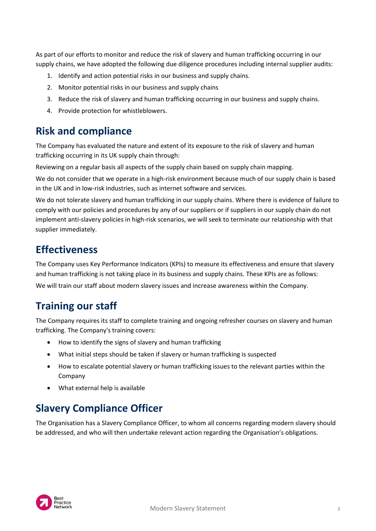As part of our efforts to monitor and reduce the risk of slavery and human trafficking occurring in our supply chains, we have adopted the following due diligence procedures including internal supplier audits:

- 1. Identify and action potential risks in our business and supply chains.
- 2. Monitor potential risks in our business and supply chains
- 3. Reduce the risk of slavery and human trafficking occurring in our business and supply chains.
- 4. Provide protection for whistleblowers.

## **Risk and compliance**

The Company has evaluated the nature and extent of its exposure to the risk of slavery and human trafficking occurring in its UK supply chain through:

Reviewing on a regular basis all aspects of the supply chain based on supply chain mapping.

We do not consider that we operate in a high-risk environment because much of our supply chain is based in the UK and in low-risk industries, such as internet software and services.

We do not tolerate slavery and human trafficking in our supply chains. Where there is evidence of failure to comply with our policies and procedures by any of our suppliers or if suppliers in our supply chain do not implement anti-slavery policies in high-risk scenarios, we will seek to terminate our relationship with that supplier immediately.

#### **Effectiveness**

The Company uses Key Performance Indicators (KPIs) to measure its effectiveness and ensure that slavery and human trafficking is not taking place in its business and supply chains. These KPIs are as follows:

We will train our staff about modern slavery issues and increase awareness within the Company.

## **Training our staff**

The Company requires its staff to complete training and ongoing refresher courses on slavery and human trafficking. The Company's training covers:

- How to identify the signs of slavery and human trafficking
- What initial steps should be taken if slavery or human trafficking is suspected
- How to escalate potential slavery or human trafficking issues to the relevant parties within the Company
- What external help is available

# **Slavery Compliance Officer**

The Organisation has a Slavery Compliance Officer, to whom all concerns regarding modern slavery should be addressed, and who will then undertake relevant action regarding the Organisation's obligations.